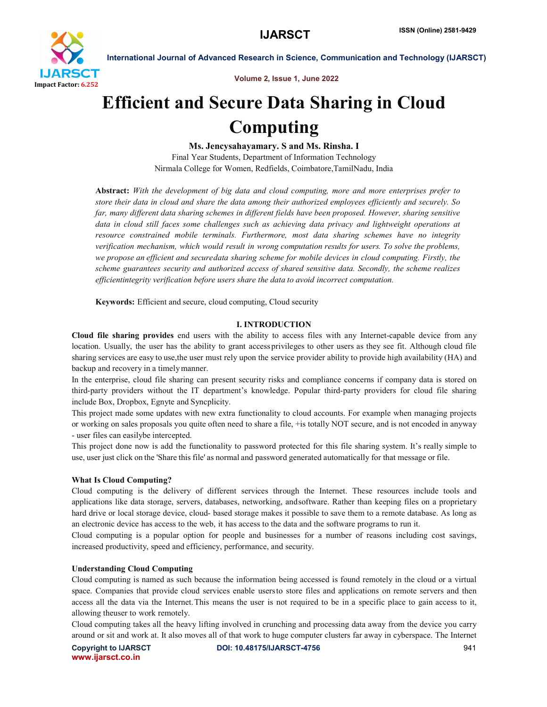

Volume 2, Issue 1, June 2022

# Efficient and Secure Data Sharing in Cloud Computing

Ms. Jencysahayamary. S and Ms. Rinsha. I Final Year Students, Department of Information Technology Nirmala College for Women, Redfields, Coimbatore,TamilNadu, India

Abstract: *With the development of big data and cloud computing, more and more enterprises prefer to store their data in cloud and share the data among their authorized employees efficiently and securely. So far, many different data sharing schemes in different fields have been proposed. However, sharing sensitive data in cloud still faces some challenges such as achieving data privacy and lightweight operations at resource constrained mobile terminals. Furthermore, most data sharing schemes have no integrity verification mechanism, which would result in wrong computation results for users. To solve the problems, we propose an efficient and securedata sharing scheme for mobile devices in cloud computing. Firstly, the scheme guarantees security and authorized access of shared sensitive data. Secondly, the scheme realizes efficientintegrity verification before users share the data to avoid incorrect computation.*

Keywords: Efficient and secure, cloud computing, Cloud security

# I. INTRODUCTION

Cloud file sharing provides end users with the ability to access files with any Internet-capable device from any location. Usually, the user has the ability to grant access privileges to other users as they see fit. Although cloud file sharing services are easy to use,the user must rely upon the service provider ability to provide high availability (HA) and backup and recovery in a timelymanner.

In the enterprise, cloud file sharing can present security risks and compliance concerns if company data is stored on third-party providers without the IT department's knowledge. Popular third-party providers for cloud file sharing include Box, Dropbox, Egnyte and Syncplicity.

This project made some updates with new extra functionality to cloud accounts. For example when managing projects or working on sales proposals you quite often need to share a file, +is totally NOT secure, and is not encoded in anyway - user files can easilybe intercepted.

This project done now is add the functionality to password protected for this file sharing system. It's really simple to use, user just click on the 'Share this file' as normal and password generated automatically for that message or file.

#### What Is Cloud Computing?

Cloud computing is the delivery of different services through the Internet. These resources include tools and applications like data storage, servers, databases, networking, andsoftware. Rather than keeping files on a proprietary hard drive or local storage device, cloud- based storage makes it possible to save them to a remote database. As long as an electronic device has access to the web, it has access to the data and the software programs to run it.

Cloud computing is a popular option for people and businesses for a number of reasons including cost savings, increased productivity, speed and efficiency, performance, and security.

#### Understanding Cloud Computing

Cloud computing is named as such because the information being accessed is found remotely in the cloud or a virtual space. Companies that provide cloud services enable usersto store files and applications on remote servers and then access all the data via the Internet.This means the user is not required to be in a specific place to gain access to it, allowing theuser to work remotely.

Cloud computing takes all the heavy lifting involved in crunching and processing data away from the device you carry around or sit and work at. It also moves all of that work to huge computer clusters far away in cyberspace. The Internet

www.ijarsct.co.in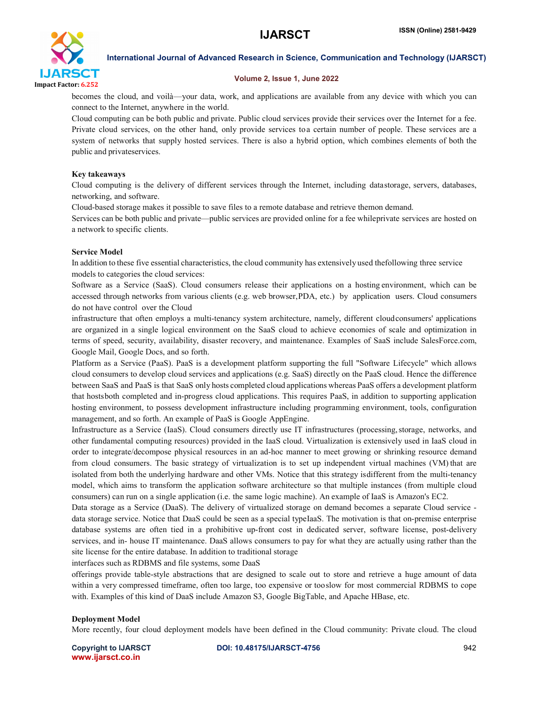

#### Volume 2, Issue 1, June 2022

becomes the cloud, and voilà—your data, work, and applications are available from any device with which you can connect to the Internet, anywhere in the world.

Cloud computing can be both public and private. Public cloud services provide their services over the Internet for a fee. Private cloud services, on the other hand, only provide services toa certain number of people. These services are a system of networks that supply hosted services. There is also a hybrid option, which combines elements of both the public and privateservices.

### Key takeaways

Cloud computing is the delivery of different services through the Internet, including datastorage, servers, databases, networking, and software.

Cloud-based storage makes it possible to save files to a remote database and retrieve themon demand.

Services can be both public and private—public services are provided online for a fee whileprivate services are hosted on a network to specific clients.

### Service Model

In addition to these five essential characteristics, the cloud community has extensively used thefollowing three service models to categories the cloud services:

Software as a Service (SaaS). Cloud consumers release their applications on a hosting environment, which can be accessed through networks from various clients (e.g. web browser,PDA, etc.) by application users. Cloud consumers do not have control over the Cloud

infrastructure that often employs a multi-tenancy system architecture, namely, different cloudconsumers' applications are organized in a single logical environment on the SaaS cloud to achieve economies of scale and optimization in terms of speed, security, availability, disaster recovery, and maintenance. Examples of SaaS include SalesForce.com, Google Mail, Google Docs, and so forth.

Platform as a Service (PaaS). PaaS is a development platform supporting the full "Software Lifecycle" which allows cloud consumers to develop cloud services and applications (e.g. SaaS) directly on the PaaS cloud. Hence the difference between SaaS and PaaS is that SaaS only hosts completed cloud applications whereas PaaS offers a development platform that hostsboth completed and in-progress cloud applications. This requires PaaS, in addition to supporting application hosting environment, to possess development infrastructure including programming environment, tools, configuration management, and so forth. An example of PaaS is Google AppEngine.

Infrastructure as a Service (IaaS). Cloud consumers directly use IT infrastructures (processing,storage, networks, and other fundamental computing resources) provided in the IaaS cloud. Virtualization is extensively used in IaaS cloud in order to integrate/decompose physical resources in an ad-hoc manner to meet growing or shrinking resource demand from cloud consumers. The basic strategy of virtualization is to set up independent virtual machines (VM) that are isolated from both the underlying hardware and other VMs. Notice that this strategy isdifferent from the multi-tenancy model, which aims to transform the application software architecture so that multiple instances (from multiple cloud consumers) can run on a single application (i.e. the same logic machine). An example of IaaS is Amazon's EC2.

Data storage as a Service (DaaS). The delivery of virtualized storage on demand becomes a separate Cloud service data storage service. Notice that DaaS could be seen as a special typeIaaS. The motivation is that on-premise enterprise database systems are often tied in a prohibitive up-front cost in dedicated server, software license, post-delivery services, and in- house IT maintenance. DaaS allows consumers to pay for what they are actually using rather than the site license for the entire database. In addition to traditional storage

interfaces such as RDBMS and file systems, some DaaS

offerings provide table-style abstractions that are designed to scale out to store and retrieve a huge amount of data within a very compressed timeframe, often too large, too expensive or tooslow for most commercial RDBMS to cope with. Examples of this kind of DaaS include Amazon S3, Google BigTable, and Apache HBase, etc.

# Deployment Model

More recently, four cloud deployment models have been defined in the Cloud community: Private cloud. The cloud

www.ijarsct.co.in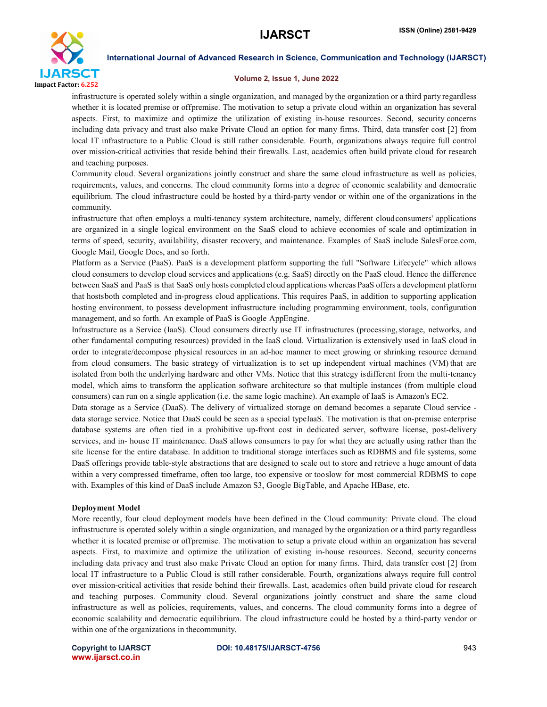

#### Volume 2, Issue 1, June 2022

infrastructure is operated solely within a single organization, and managed by the organization or a third party regardless whether it is located premise or offpremise. The motivation to setup a private cloud within an organization has several aspects. First, to maximize and optimize the utilization of existing in-house resources. Second, security concerns including data privacy and trust also make Private Cloud an option for many firms. Third, data transfer cost [2] from local IT infrastructure to a Public Cloud is still rather considerable. Fourth, organizations always require full control over mission-critical activities that reside behind their firewalls. Last, academics often build private cloud for research and teaching purposes.

Community cloud. Several organizations jointly construct and share the same cloud infrastructure as well as policies, requirements, values, and concerns. The cloud community forms into a degree of economic scalability and democratic equilibrium. The cloud infrastructure could be hosted by a third-party vendor or within one of the organizations in the community.

infrastructure that often employs a multi-tenancy system architecture, namely, different cloudconsumers' applications are organized in a single logical environment on the SaaS cloud to achieve economies of scale and optimization in terms of speed, security, availability, disaster recovery, and maintenance. Examples of SaaS include SalesForce.com, Google Mail, Google Docs, and so forth.

Platform as a Service (PaaS). PaaS is a development platform supporting the full "Software Lifecycle" which allows cloud consumers to develop cloud services and applications (e.g. SaaS) directly on the PaaS cloud. Hence the difference between SaaS and PaaS is that SaaS only hosts completed cloud applications whereas PaaS offers a development platform that hostsboth completed and in-progress cloud applications. This requires PaaS, in addition to supporting application hosting environment, to possess development infrastructure including programming environment, tools, configuration management, and so forth. An example of PaaS is Google AppEngine.

Infrastructure as a Service (IaaS). Cloud consumers directly use IT infrastructures (processing, storage, networks, and other fundamental computing resources) provided in the IaaS cloud. Virtualization is extensively used in IaaS cloud in order to integrate/decompose physical resources in an ad-hoc manner to meet growing or shrinking resource demand from cloud consumers. The basic strategy of virtualization is to set up independent virtual machines (VM) that are isolated from both the underlying hardware and other VMs. Notice that this strategy isdifferent from the multi-tenancy model, which aims to transform the application software architecture so that multiple instances (from multiple cloud consumers) can run on a single application (i.e. the same logic machine). An example of IaaS is Amazon's EC2.

Data storage as a Service (DaaS). The delivery of virtualized storage on demand becomes a separate Cloud service data storage service. Notice that DaaS could be seen as a special typeIaaS. The motivation is that on-premise enterprise database systems are often tied in a prohibitive up-front cost in dedicated server, software license, post-delivery services, and in- house IT maintenance. DaaS allows consumers to pay for what they are actually using rather than the site license for the entire database. In addition to traditional storage interfaces such as RDBMS and file systems, some DaaS offerings provide table-style abstractions that are designed to scale out to store and retrieve a huge amount of data within a very compressed timeframe, often too large, too expensive or tooslow for most commercial RDBMS to cope with. Examples of this kind of DaaS include Amazon S3, Google BigTable, and Apache HBase, etc.

#### Deployment Model

More recently, four cloud deployment models have been defined in the Cloud community: Private cloud. The cloud infrastructure is operated solely within a single organization, and managed by the organization or a third party regardless whether it is located premise or offpremise. The motivation to setup a private cloud within an organization has several aspects. First, to maximize and optimize the utilization of existing in-house resources. Second, security concerns including data privacy and trust also make Private Cloud an option for many firms. Third, data transfer cost [2] from local IT infrastructure to a Public Cloud is still rather considerable. Fourth, organizations always require full control over mission-critical activities that reside behind their firewalls. Last, academics often build private cloud for research and teaching purposes. Community cloud. Several organizations jointly construct and share the same cloud infrastructure as well as policies, requirements, values, and concerns. The cloud community forms into a degree of economic scalability and democratic equilibrium. The cloud infrastructure could be hosted by a third-party vendor or within one of the organizations in thecommunity.

www.ijarsct.co.in

Copyright to IJARSCT **DOI: 10.48175/IJARSCT-4756** 943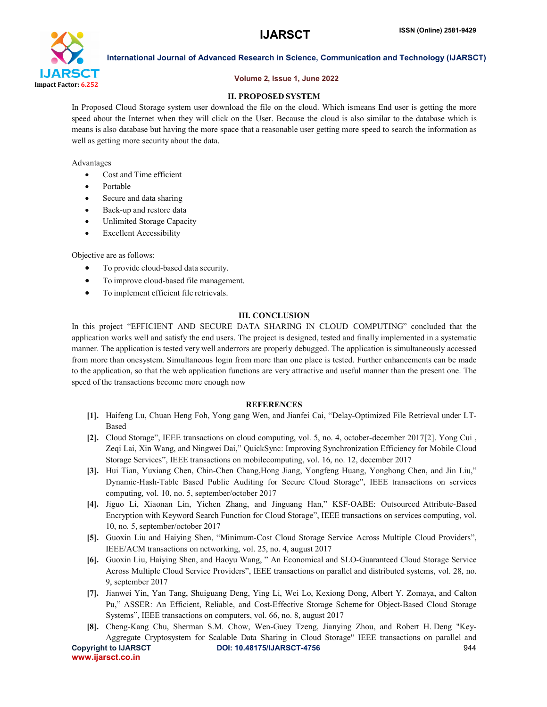

### Volume 2, Issue 1, June 2022

# II. PROPOSED SYSTEM

In Proposed Cloud Storage system user download the file on the cloud. Which ismeans End user is getting the more speed about the Internet when they will click on the User. Because the cloud is also similar to the database which is means is also database but having the more space that a reasonable user getting more speed to search the information as well as getting more security about the data.

#### Advantages

- Cost and Time efficient
- Portable
- Secure and data sharing
- Back-up and restore data
- Unlimited Storage Capacity
- Excellent Accessibility

### Objective are as follows:

- To provide cloud-based data security.
- To improve cloud-based file management.
- To implement efficient file retrievals.

#### III. CONCLUSION

In this project "EFFICIENT AND SECURE DATA SHARING IN CLOUD COMPUTING" concluded that the application works well and satisfy the end users. The project is designed, tested and finally implemented in a systematic manner. The application is tested very well anderrors are properly debugged. The application is simultaneously accessed from more than onesystem. Simultaneous login from more than one place is tested. Further enhancements can be made to the application, so that the web application functions are very attractive and useful manner than the present one. The speed of the transactions become more enough now

#### **REFERENCES**

- [1]. Haifeng Lu, Chuan Heng Foh, Yong gang Wen, and Jianfei Cai, "Delay-Optimized File Retrieval under LT-Based
- [2]. Cloud Storage", IEEE transactions on cloud computing, vol. 5, no. 4, october-december 2017[2]. Yong Cui , Zeqi Lai, Xin Wang, and Ningwei Dai," QuickSync: Improving Synchronization Efficiency for Mobile Cloud Storage Services", IEEE transactions on mobilecomputing, vol. 16, no. 12, december 2017
- [3]. Hui Tian, Yuxiang Chen, Chin-Chen Chang,Hong Jiang, Yongfeng Huang, Yonghong Chen, and Jin Liu," Dynamic-Hash-Table Based Public Auditing for Secure Cloud Storage", IEEE transactions on services computing, vol. 10, no. 5, september/october 2017
- [4]. Jiguo Li, Xiaonan Lin, Yichen Zhang, and Jinguang Han," KSF-OABE: Outsourced Attribute-Based Encryption with Keyword Search Function for Cloud Storage", IEEE transactions on services computing, vol. 10, no. 5, september/october 2017
- [5]. Guoxin Liu and Haiying Shen, "Minimum-Cost Cloud Storage Service Across Multiple Cloud Providers", IEEE/ACM transactions on networking, vol. 25, no. 4, august 2017
- [6]. Guoxin Liu, Haiying Shen, and Haoyu Wang, " An Economical and SLO-Guaranteed Cloud Storage Service Across Multiple Cloud Service Providers", IEEE transactions on parallel and distributed systems, vol. 28, no. 9, september 2017
- [7]. Jianwei Yin, Yan Tang, Shuiguang Deng, Ying Li, Wei Lo, Kexiong Dong, Albert Y. Zomaya, and Calton Pu," ASSER: An Efficient, Reliable, and Cost-Effective Storage Scheme for Object-Based Cloud Storage Systems", IEEE transactions on computers, vol. 66, no. 8, august 2017
- Copyright to IJARSCT DOI: 10.48175/IJARSCT-4756 944 www.ijarsct.co.in [8]. Cheng-Kang Chu, Sherman S.M. Chow, Wen-Guey Tzeng, Jianying Zhou, and Robert H. Deng "Key-Aggregate Cryptosystem for Scalable Data Sharing in Cloud Storage" IEEE transactions on parallel and